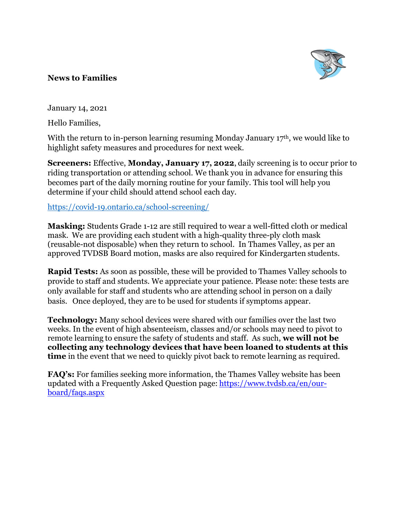

## **News to Families**

January 14, 2021

Hello Families,

With the return to in-person learning resuming Monday January  $17<sup>th</sup>$ , we would like to highlight safety measures and procedures for next week.

**Screeners:** Effective, **Monday, January 17, 2022**, daily screening is to occur prior to riding transportation or attending school. We thank you in advance for ensuring this becomes part of the daily morning routine for your family. This tool will help you determine if your child should attend school each day.

<https://covid-19.ontario.ca/school-screening/>

**Masking:** Students Grade 1-12 are still required to wear a well-fitted cloth or medical mask. We are providing each student with a high-quality three-ply cloth mask (reusable-not disposable) when they return to school. In Thames Valley, as per an approved TVDSB Board motion, masks are also required for Kindergarten students.  

**Rapid Tests:** As soon as possible, these will be provided to Thames Valley schools to provide to staff and students. We appreciate your patience. Please note: these tests are only available for staff and students who are attending school in person on a daily basis.   Once deployed, they are to be used for students if symptoms appear.

**Technology:** Many school devices were shared with our families over the last two weeks. In the event of high absenteeism, classes and/or schools may need to pivot to remote learning to ensure the safety of students and staff. As such, **we will not be collecting any technology devices that have been loaned to students at this time** in the event that we need to quickly pivot back to remote learning as required.

**FAQ's:** For families seeking more information, the Thames Valley website has been updated with a Frequently Asked Question page: [https://www.tvdsb.ca/en/our](http://track.spe.schoolmessenger.com/f/a/0UvT6aTb_Ipi2rtIO2GrFg~~/AAAAAQA~/RgRjweBmP0QraHR0cHM6Ly93d3cudHZkc2IuY2EvZW4vb3VyLWJvYXJkL2ZhcXMuYXNweFcHc2Nob29sbUIKYd3mrOBhqW8NQ1IUYS5jaGV2YWxpZXJAdHZkc2IuY2FYBAAAAAI~)[board/faqs.aspx](http://track.spe.schoolmessenger.com/f/a/0UvT6aTb_Ipi2rtIO2GrFg~~/AAAAAQA~/RgRjweBmP0QraHR0cHM6Ly93d3cudHZkc2IuY2EvZW4vb3VyLWJvYXJkL2ZhcXMuYXNweFcHc2Nob29sbUIKYd3mrOBhqW8NQ1IUYS5jaGV2YWxpZXJAdHZkc2IuY2FYBAAAAAI~)